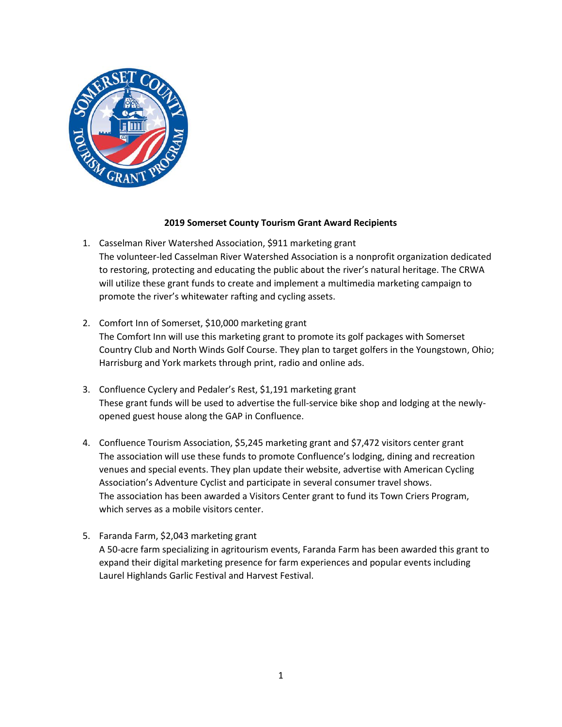

## **2019 Somerset County Tourism Grant Award Recipients**

- 1. Casselman River Watershed Association, \$911 marketing grant The volunteer-led Casselman River Watershed Association is a nonprofit organization dedicated to restoring, protecting and educating the public about the river's natural heritage. The CRWA will utilize these grant funds to create and implement a multimedia marketing campaign to promote the river's whitewater rafting and cycling assets.
- 2. Comfort Inn of Somerset, \$10,000 marketing grant The Comfort Inn will use this marketing grant to promote its golf packages with Somerset Country Club and North Winds Golf Course. They plan to target golfers in the Youngstown, Ohio; Harrisburg and York markets through print, radio and online ads.
- 3. Confluence Cyclery and Pedaler's Rest, \$1,191 marketing grant These grant funds will be used to advertise the full-service bike shop and lodging at the newlyopened guest house along the GAP in Confluence.
- 4. Confluence Tourism Association, \$5,245 marketing grant and \$7,472 visitors center grant The association will use these funds to promote Confluence's lodging, dining and recreation venues and special events. They plan update their website, advertise with American Cycling Association's Adventure Cyclist and participate in several consumer travel shows. The association has been awarded a Visitors Center grant to fund its Town Criers Program, which serves as a mobile visitors center.
- 5. Faranda Farm, \$2,043 marketing grant A 50-acre farm specializing in agritourism events, Faranda Farm has been awarded this grant to expand their digital marketing presence for farm experiences and popular events including Laurel Highlands Garlic Festival and Harvest Festival.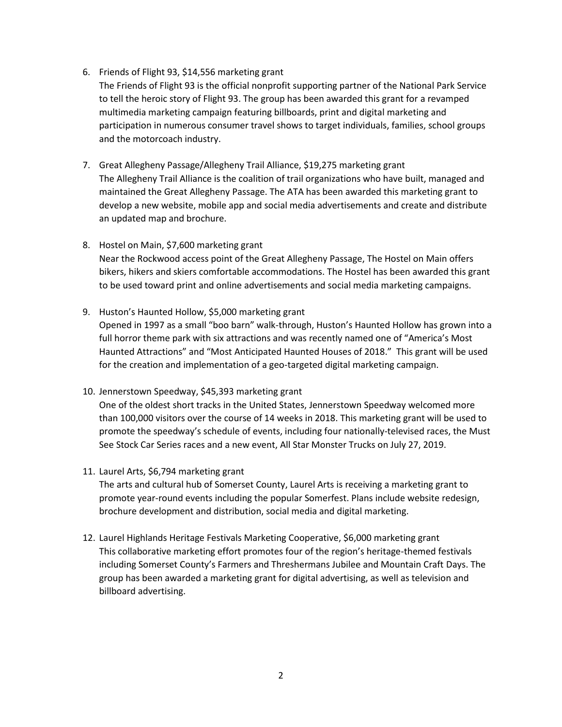6. Friends of Flight 93, \$14,556 marketing grant

The Friends of Flight 93 is the official nonprofit supporting partner of the National Park Service to tell the heroic story of Flight 93. The group has been awarded this grant for a revamped multimedia marketing campaign featuring billboards, print and digital marketing and participation in numerous consumer travel shows to target individuals, families, school groups and the motorcoach industry.

- 7. Great Allegheny Passage/Allegheny Trail Alliance, \$19,275 marketing grant The Allegheny Trail Alliance is the coalition of trail organizations who have built, managed and maintained the Great Allegheny Passage. The ATA has been awarded this marketing grant to develop a new website, mobile app and social media advertisements and create and distribute an updated map and brochure.
- 8. Hostel on Main, \$7,600 marketing grant Near the Rockwood access point of the Great Allegheny Passage, The Hostel on Main offers bikers, hikers and skiers comfortable accommodations. The Hostel has been awarded this grant to be used toward print and online advertisements and social media marketing campaigns.
- 9. Huston's Haunted Hollow, \$5,000 marketing grant

Opened in 1997 as a small "boo barn" walk-through, Huston's Haunted Hollow has grown into a full horror theme park with six attractions and was recently named one of "America's Most Haunted Attractions" and "Most Anticipated Haunted Houses of 2018." This grant will be used for the creation and implementation of a geo-targeted digital marketing campaign.

- 10. Jennerstown Speedway, \$45,393 marketing grant One of the oldest short tracks in the United States, Jennerstown Speedway welcomed more than 100,000 visitors over the course of 14 weeks in 2018. This marketing grant will be used to promote the speedway's schedule of events, including four nationally-televised races, the Must See Stock Car Series races and a new event, All Star Monster Trucks on July 27, 2019.
- 11. Laurel Arts, \$6,794 marketing grant

The arts and cultural hub of Somerset County, Laurel Arts is receiving a marketing grant to promote year-round events including the popular Somerfest. Plans include website redesign, brochure development and distribution, social media and digital marketing.

12. Laurel Highlands Heritage Festivals Marketing Cooperative, \$6,000 marketing grant This collaborative marketing effort promotes four of the region's heritage-themed festivals including Somerset County's Farmers and Threshermans Jubilee and Mountain Craft Days. The group has been awarded a marketing grant for digital advertising, as well as television and billboard advertising.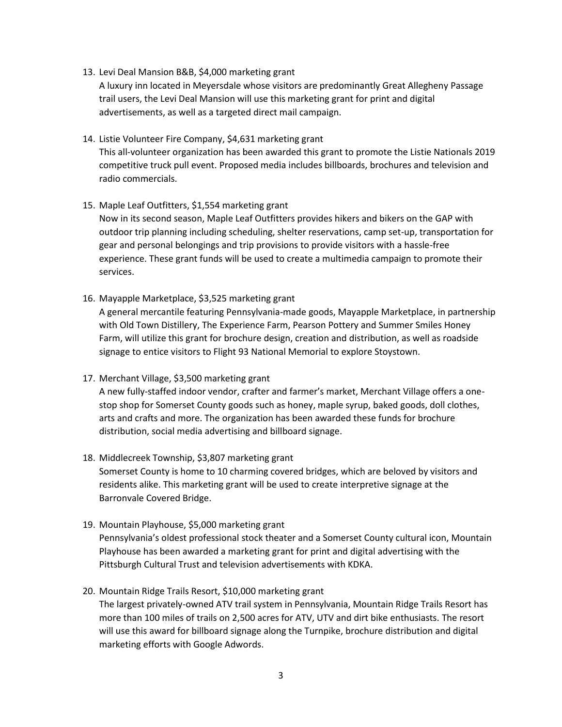13. Levi Deal Mansion B&B, \$4,000 marketing grant

A luxury inn located in Meyersdale whose visitors are predominantly Great Allegheny Passage trail users, the Levi Deal Mansion will use this marketing grant for print and digital advertisements, as well as a targeted direct mail campaign.

14. Listie Volunteer Fire Company, \$4,631 marketing grant

This all-volunteer organization has been awarded this grant to promote the Listie Nationals 2019 competitive truck pull event. Proposed media includes billboards, brochures and television and radio commercials.

15. Maple Leaf Outfitters, \$1,554 marketing grant

Now in its second season, Maple Leaf Outfitters provides hikers and bikers on the GAP with outdoor trip planning including scheduling, shelter reservations, camp set-up, transportation for gear and personal belongings and trip provisions to provide visitors with a hassle-free experience. These grant funds will be used to create a multimedia campaign to promote their services.

16. Mayapple Marketplace, \$3,525 marketing grant

A general mercantile featuring Pennsylvania-made goods, Mayapple Marketplace, in partnership with Old Town Distillery, The Experience Farm, Pearson Pottery and Summer Smiles Honey Farm, will utilize this grant for brochure design, creation and distribution, as well as roadside signage to entice visitors to Flight 93 National Memorial to explore Stoystown.

17. Merchant Village, \$3,500 marketing grant

A new fully-staffed indoor vendor, crafter and farmer's market, Merchant Village offers a onestop shop for Somerset County goods such as honey, maple syrup, baked goods, doll clothes, arts and crafts and more. The organization has been awarded these funds for brochure distribution, social media advertising and billboard signage.

18. Middlecreek Township, \$3,807 marketing grant

Somerset County is home to 10 charming covered bridges, which are beloved by visitors and residents alike. This marketing grant will be used to create interpretive signage at the Barronvale Covered Bridge.

- 19. Mountain Playhouse, \$5,000 marketing grant Pennsylvania's oldest professional stock theater and a Somerset County cultural icon, Mountain Playhouse has been awarded a marketing grant for print and digital advertising with the Pittsburgh Cultural Trust and television advertisements with KDKA.
- 20. Mountain Ridge Trails Resort, \$10,000 marketing grant

The largest privately-owned ATV trail system in Pennsylvania, Mountain Ridge Trails Resort has more than 100 miles of trails on 2,500 acres for ATV, UTV and dirt bike enthusiasts. The resort will use this award for billboard signage along the Turnpike, brochure distribution and digital marketing efforts with Google Adwords.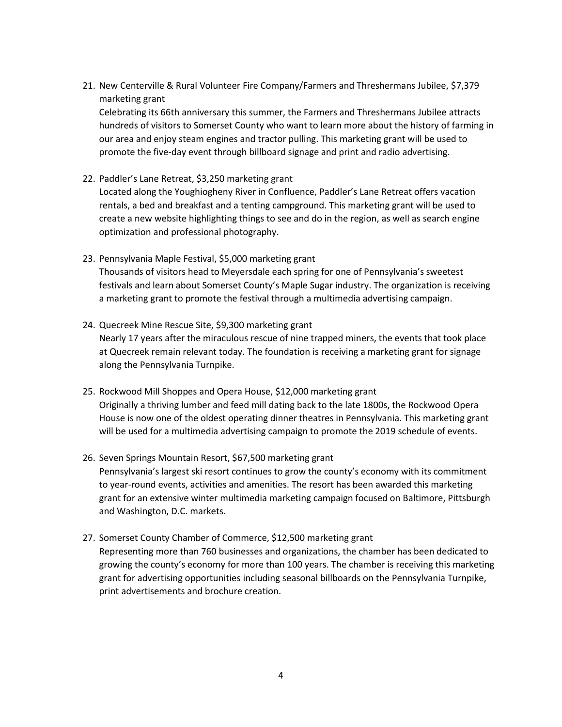21. New Centerville & Rural Volunteer Fire Company/Farmers and Threshermans Jubilee, \$7,379 marketing grant

Celebrating its 66th anniversary this summer, the Farmers and Threshermans Jubilee attracts hundreds of visitors to Somerset County who want to learn more about the history of farming in our area and enjoy steam engines and tractor pulling. This marketing grant will be used to promote the five-day event through billboard signage and print and radio advertising.

22. Paddler's Lane Retreat, \$3,250 marketing grant

Located along the Youghiogheny River in Confluence, Paddler's Lane Retreat offers vacation rentals, a bed and breakfast and a tenting campground. This marketing grant will be used to create a new website highlighting things to see and do in the region, as well as search engine optimization and professional photography.

23. Pennsylvania Maple Festival, \$5,000 marketing grant

Thousands of visitors head to Meyersdale each spring for one of Pennsylvania's sweetest festivals and learn about Somerset County's Maple Sugar industry. The organization is receiving a marketing grant to promote the festival through a multimedia advertising campaign.

- 24. Quecreek Mine Rescue Site, \$9,300 marketing grant Nearly 17 years after the miraculous rescue of nine trapped miners, the events that took place at Quecreek remain relevant today. The foundation is receiving a marketing grant for signage along the Pennsylvania Turnpike.
- 25. Rockwood Mill Shoppes and Opera House, \$12,000 marketing grant Originally a thriving lumber and feed mill dating back to the late 1800s, the Rockwood Opera House is now one of the oldest operating dinner theatres in Pennsylvania. This marketing grant will be used for a multimedia advertising campaign to promote the 2019 schedule of events.
- 26. Seven Springs Mountain Resort, \$67,500 marketing grant Pennsylvania's largest ski resort continues to grow the county's economy with its commitment to year-round events, activities and amenities. The resort has been awarded this marketing grant for an extensive winter multimedia marketing campaign focused on Baltimore, Pittsburgh and Washington, D.C. markets.
- 27. Somerset County Chamber of Commerce, \$12,500 marketing grant Representing more than 760 businesses and organizations, the chamber has been dedicated to growing the county's economy for more than 100 years. The chamber is receiving this marketing grant for advertising opportunities including seasonal billboards on the Pennsylvania Turnpike, print advertisements and brochure creation.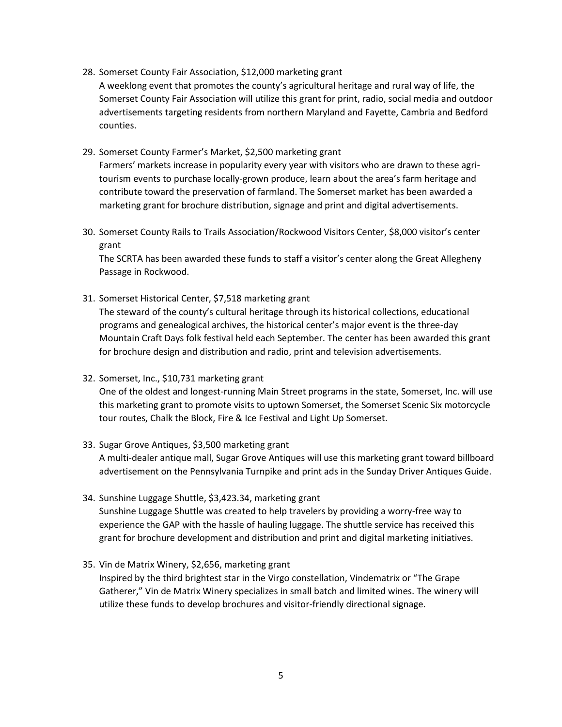- 28. Somerset County Fair Association, \$12,000 marketing grant A weeklong event that promotes the county's agricultural heritage and rural way of life, the Somerset County Fair Association will utilize this grant for print, radio, social media and outdoor advertisements targeting residents from northern Maryland and Fayette, Cambria and Bedford counties.
- 29. Somerset County Farmer's Market, \$2,500 marketing grant Farmers' markets increase in popularity every year with visitors who are drawn to these agritourism events to purchase locally-grown produce, learn about the area's farm heritage and contribute toward the preservation of farmland. The Somerset market has been awarded a marketing grant for brochure distribution, signage and print and digital advertisements.
- 30. Somerset County Rails to Trails Association/Rockwood Visitors Center, \$8,000 visitor's center grant

The SCRTA has been awarded these funds to staff a visitor's center along the Great Allegheny Passage in Rockwood.

31. Somerset Historical Center, \$7,518 marketing grant

The steward of the county's cultural heritage through its historical collections, educational programs and genealogical archives, the historical center's major event is the three-day Mountain Craft Days folk festival held each September. The center has been awarded this grant for brochure design and distribution and radio, print and television advertisements.

32. Somerset, Inc., \$10,731 marketing grant

One of the oldest and longest-running Main Street programs in the state, Somerset, Inc. will use this marketing grant to promote visits to uptown Somerset, the Somerset Scenic Six motorcycle tour routes, Chalk the Block, Fire & Ice Festival and Light Up Somerset.

33. Sugar Grove Antiques, \$3,500 marketing grant

A multi-dealer antique mall, Sugar Grove Antiques will use this marketing grant toward billboard advertisement on the Pennsylvania Turnpike and print ads in the Sunday Driver Antiques Guide.

- 34. Sunshine Luggage Shuttle, \$3,423.34, marketing grant Sunshine Luggage Shuttle was created to help travelers by providing a worry-free way to experience the GAP with the hassle of hauling luggage. The shuttle service has received this grant for brochure development and distribution and print and digital marketing initiatives.
- 35. Vin de Matrix Winery, \$2,656, marketing grant Inspired by the third brightest star in the Virgo constellation, Vindematrix or "The Grape Gatherer," Vin de Matrix Winery specializes in small batch and limited wines. The winery will utilize these funds to develop brochures and visitor-friendly directional signage.